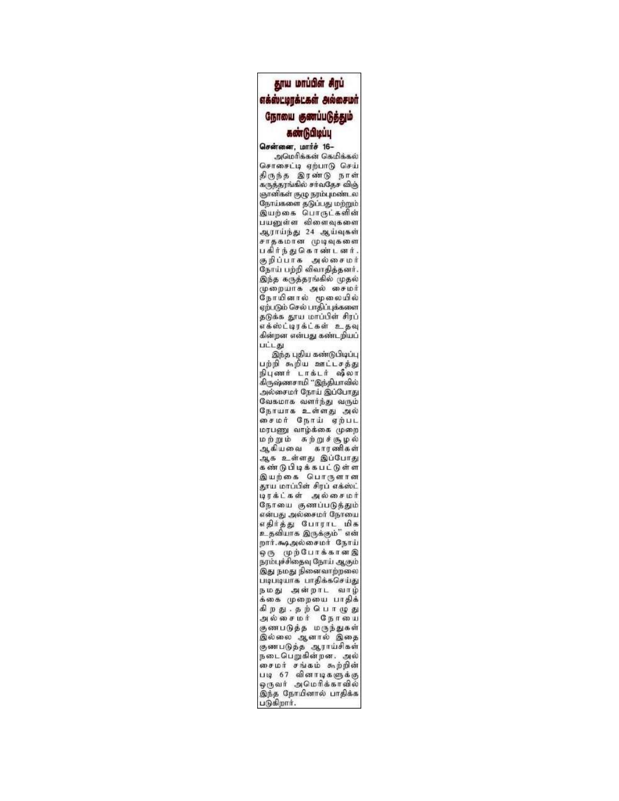## தூய மாப்பிள் சிரப் எக்ஸ்ட்டிரக்டகள் அல்சைமா் நோயை குணப்படுத்தும் கண்டுபிடிப்பு

சென்னை, மார்ச் 16-அமெரிக்கன் கெமிக்கல் சொசைட்டி ஏற்பாடு செய் திருந்த இரண்டு நாள் கருத்தரங்கில் சர்வதேச விஞ் ஞானிகள் குழு நரம்புமண்டல நோய்களை தடுப்பது மற்றும் இயற்கை பொருட்களின் பயனுள்ள விளைவுகளை ஆராய்ந்து 24 ஆய்வுகள் சாதகமான முடிவுகளை பகிர்ந்து கொண்டனர். கு நிப்பாக அல்சைமர் நோய் பற்றி விவாதித்தனர். இந்த கருத்தரங்கில் முதல் .<br>முறையாக அல் சைமர்<br>நோயினால் மூலையில் ஏற்படும் செல் பாதிப்புக்களை தடுக்க தூய மாப்பிள் சிரப் எக்ஸ்ட்டிரக்ட்கள் உதவு கின்றன என்பது கண்டறியப் பட்டது

இந்த புதிய கண்டுபிடிப்பு பற்றி கூறிய ஊட்டசத்து நிபுணர் டாக்டர் ஷீலா கிருஷ்ணசாமி "இந்தியாவில் அல்சைமர் நோய் இப்போது வேகமாக வளர்ந்து வரும் நோயாக உள்ளது அல் சைமர் நோய் ஏற்பட மரபணு வாழ்க்கை முறை மற்றும் சுற்றுச்சூழல் ஆகியவை காரணிகள் ஆக உள்ளது இப்போது கண்டு பிடிக்கபட்டுள்ள இயற்கை பொருளான தூய மாப்பிள் சிரப் எக்ஸ்ட் டிரக்ட்கள் அல்சைமர் நோயை குணப்படுத்தும் என்பது அல்சைமர் நோயை எதிர்த்து போராட் மிக<br>உதவியாக இருக்கும்" என் றார்.கூடிஅல்சைமர் நோய் ஒரு முற்போக்கானஇ நரம்புச்சிதைவு நோய் ஆகும் இது நமது நினைவாற்றலை படிபடியாக பாதிக்கசெய்து நமது அன்றாட வாழ் க்கை முறையை பாதிக் கிறது. தற்பொழுது அல்சைமர் நோயை குணபடுத்த மருந்துகள் இல்லை ஆனால் இதை குணபடுத்த ஆராய்சிகள்<br>நடைபெறுகின்றன. அல் சைமர் சங்கம் கூற்றின் படி 67 வினாடிகளுக்கு ஒருவர் அமெரிக்காவில் இந்த நோயினால் பாதிக்க படுகிறார்.